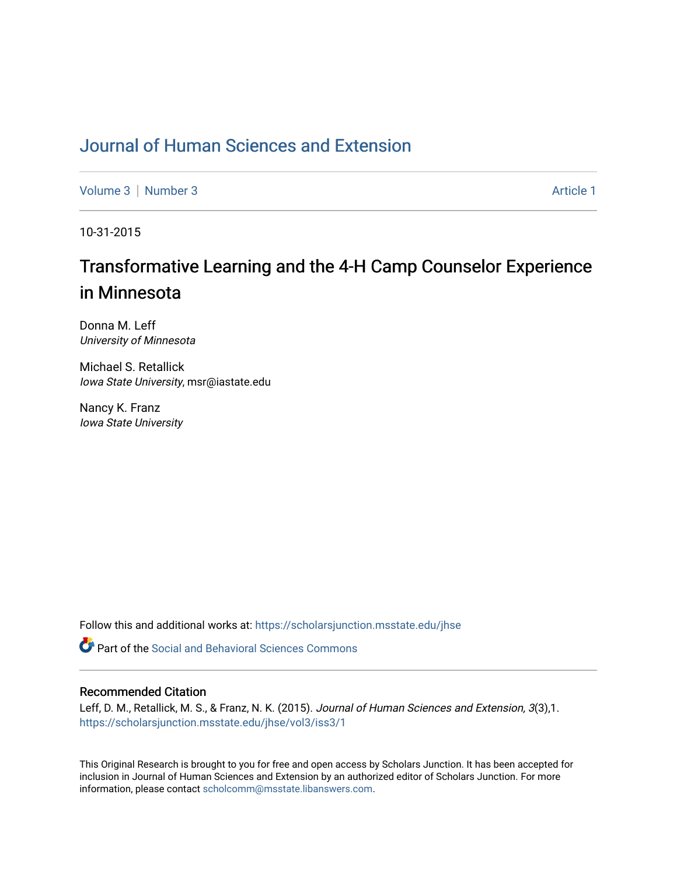## [Journal of Human Sciences and Extension](https://scholarsjunction.msstate.edu/jhse)

[Volume 3](https://scholarsjunction.msstate.edu/jhse/vol3) [Number 3](https://scholarsjunction.msstate.edu/jhse/vol3/iss3) Article 1

10-31-2015

# Transformative Learning and the 4-H Camp Counselor Experience in Minnesota

Donna M. Leff University of Minnesota

Michael S. Retallick Iowa State University, msr@iastate.edu

Nancy K. Franz Iowa State University

Follow this and additional works at: [https://scholarsjunction.msstate.edu/jhse](https://scholarsjunction.msstate.edu/jhse?utm_source=scholarsjunction.msstate.edu%2Fjhse%2Fvol3%2Fiss3%2F1&utm_medium=PDF&utm_campaign=PDFCoverPages)

**C** Part of the Social and Behavioral Sciences Commons

#### Recommended Citation

Leff, D. M., Retallick, M. S., & Franz, N. K. (2015). Journal of Human Sciences and Extension, 3(3),1. [https://scholarsjunction.msstate.edu/jhse/vol3/iss3/1](https://scholarsjunction.msstate.edu/jhse/vol3/iss3/1?utm_source=scholarsjunction.msstate.edu%2Fjhse%2Fvol3%2Fiss3%2F1&utm_medium=PDF&utm_campaign=PDFCoverPages)

This Original Research is brought to you for free and open access by Scholars Junction. It has been accepted for inclusion in Journal of Human Sciences and Extension by an authorized editor of Scholars Junction. For more information, please contact [scholcomm@msstate.libanswers.com](mailto:scholcomm@msstate.libanswers.com).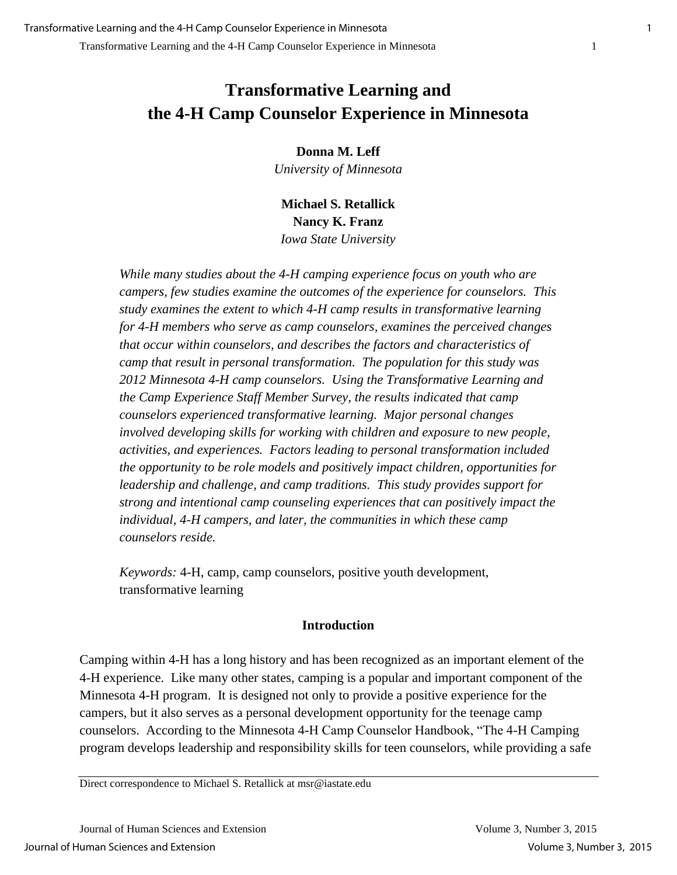**Donna M. Leff**

*University of Minnesota* 

**Michael S. Retallick Nancy K. Franz** *Iowa State University* 

*While many studies about the 4-H camping experience focus on youth who are campers, few studies examine the outcomes of the experience for counselors. This study examines the extent to which 4-H camp results in transformative learning for 4-H members who serve as camp counselors, examines the perceived changes that occur within counselors, and describes the factors and characteristics of camp that result in personal transformation. The population for this study was 2012 Minnesota 4-H camp counselors. Using the Transformative Learning and the Camp Experience Staff Member Survey, the results indicated that camp counselors experienced transformative learning. Major personal changes involved developing skills for working with children and exposure to new people, activities, and experiences. Factors leading to personal transformation included the opportunity to be role models and positively impact children, opportunities for leadership and challenge, and camp traditions. This study provides support for strong and intentional camp counseling experiences that can positively impact the individual, 4-H campers, and later, the communities in which these camp counselors reside.*

*Keywords:* 4-H, camp, camp counselors, positive youth development, transformative learning

## **Introduction**

Camping within 4-H has a long history and has been recognized as an important element of the 4-H experience. Like many other states, camping is a popular and important component of the Minnesota 4-H program. It is designed not only to provide a positive experience for the campers, but it also serves as a personal development opportunity for the teenage camp counselors. According to the Minnesota 4-H Camp Counselor Handbook, "The 4-H Camping program develops leadership and responsibility skills for teen counselors, while providing a safe

Direct correspondence to Michael S. Retallick at msr@iastate.edu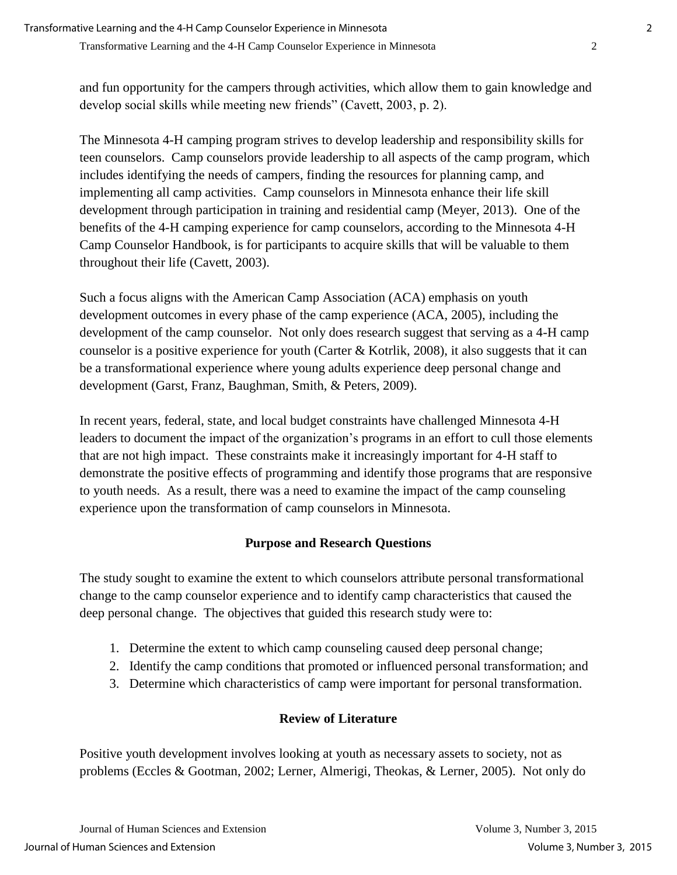and fun opportunity for the campers through activities, which allow them to gain knowledge and develop social skills while meeting new friends" (Cavett, 2003, p. 2).

The Minnesota 4-H camping program strives to develop leadership and responsibility skills for teen counselors. Camp counselors provide leadership to all aspects of the camp program, which includes identifying the needs of campers, finding the resources for planning camp, and implementing all camp activities. Camp counselors in Minnesota enhance their life skill development through participation in training and residential camp (Meyer, 2013). One of the benefits of the 4-H camping experience for camp counselors, according to the Minnesota 4-H Camp Counselor Handbook, is for participants to acquire skills that will be valuable to them throughout their life (Cavett, 2003).

Such a focus aligns with the American Camp Association (ACA) emphasis on youth development outcomes in every phase of the camp experience (ACA, 2005), including the development of the camp counselor. Not only does research suggest that serving as a 4-H camp counselor is a positive experience for youth (Carter & Kotrlik, 2008), it also suggests that it can be a transformational experience where young adults experience deep personal change and development (Garst, Franz, Baughman, Smith, & Peters, 2009).

In recent years, federal, state, and local budget constraints have challenged Minnesota 4-H leaders to document the impact of the organization's programs in an effort to cull those elements that are not high impact. These constraints make it increasingly important for 4-H staff to demonstrate the positive effects of programming and identify those programs that are responsive to youth needs. As a result, there was a need to examine the impact of the camp counseling experience upon the transformation of camp counselors in Minnesota.

## **Purpose and Research Questions**

The study sought to examine the extent to which counselors attribute personal transformational change to the camp counselor experience and to identify camp characteristics that caused the deep personal change. The objectives that guided this research study were to:

- 1. Determine the extent to which camp counseling caused deep personal change;
- 2. Identify the camp conditions that promoted or influenced personal transformation; and
- 3. Determine which characteristics of camp were important for personal transformation.

## **Review of Literature**

Positive youth development involves looking at youth as necessary assets to society, not as problems (Eccles & Gootman, 2002; Lerner, Almerigi, Theokas, & Lerner, 2005). Not only do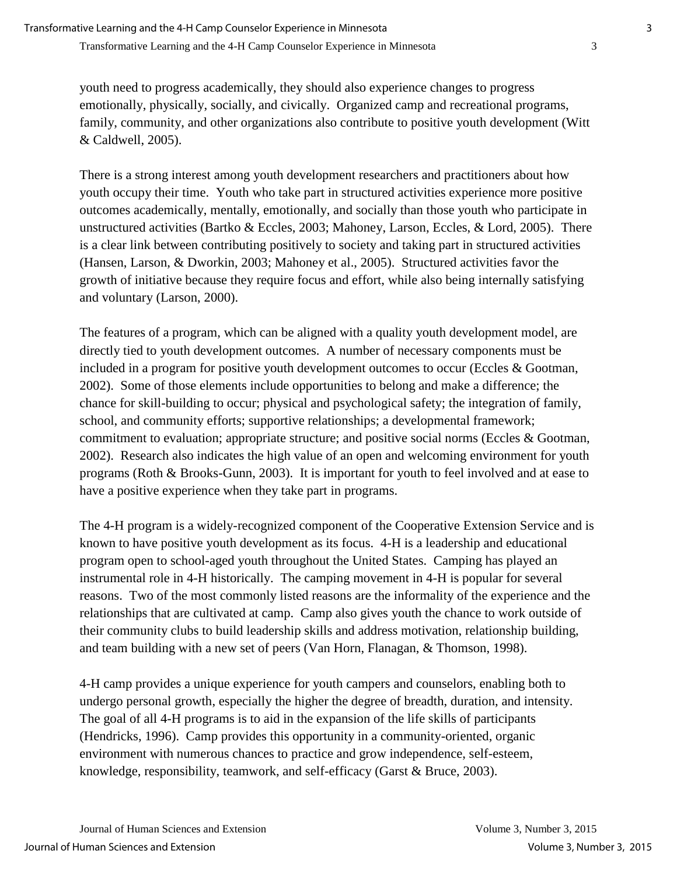youth need to progress academically, they should also experience changes to progress emotionally, physically, socially, and civically. Organized camp and recreational programs, family, community, and other organizations also contribute to positive youth development (Witt & Caldwell, 2005).

There is a strong interest among youth development researchers and practitioners about how youth occupy their time. Youth who take part in structured activities experience more positive outcomes academically, mentally, emotionally, and socially than those youth who participate in unstructured activities (Bartko & Eccles, 2003; Mahoney, Larson, Eccles, & Lord, 2005). There is a clear link between contributing positively to society and taking part in structured activities (Hansen, Larson, & Dworkin, 2003; Mahoney et al., 2005). Structured activities favor the growth of initiative because they require focus and effort, while also being internally satisfying and voluntary (Larson, 2000).

The features of a program, which can be aligned with a quality youth development model, are directly tied to youth development outcomes. A number of necessary components must be included in a program for positive youth development outcomes to occur (Eccles & Gootman, 2002). Some of those elements include opportunities to belong and make a difference; the chance for skill-building to occur; physical and psychological safety; the integration of family, school, and community efforts; supportive relationships; a developmental framework; commitment to evaluation; appropriate structure; and positive social norms (Eccles & Gootman, 2002). Research also indicates the high value of an open and welcoming environment for youth programs (Roth & Brooks-Gunn, 2003). It is important for youth to feel involved and at ease to have a positive experience when they take part in programs.

The 4-H program is a widely-recognized component of the Cooperative Extension Service and is known to have positive youth development as its focus. 4-H is a leadership and educational program open to school-aged youth throughout the United States. Camping has played an instrumental role in 4-H historically. The camping movement in 4-H is popular for several reasons. Two of the most commonly listed reasons are the informality of the experience and the relationships that are cultivated at camp. Camp also gives youth the chance to work outside of their community clubs to build leadership skills and address motivation, relationship building, and team building with a new set of peers (Van Horn, Flanagan, & Thomson, 1998).

4-H camp provides a unique experience for youth campers and counselors, enabling both to undergo personal growth, especially the higher the degree of breadth, duration, and intensity. The goal of all 4-H programs is to aid in the expansion of the life skills of participants (Hendricks, 1996). Camp provides this opportunity in a community-oriented, organic environment with numerous chances to practice and grow independence, self-esteem, knowledge, responsibility, teamwork, and self-efficacy (Garst & Bruce, 2003).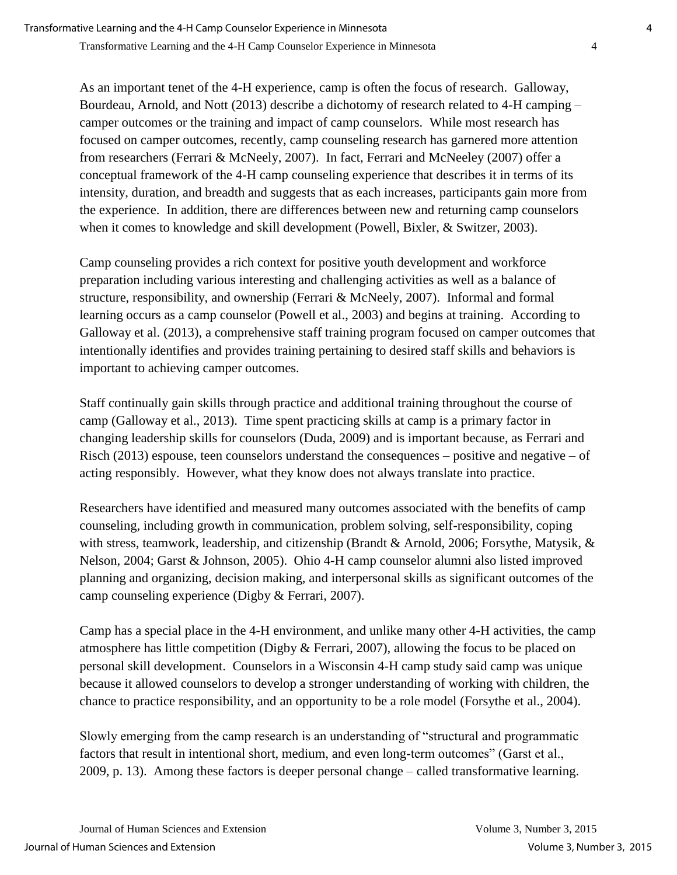As an important tenet of the 4-H experience, camp is often the focus of research. Galloway, Bourdeau, Arnold, and Nott (2013) describe a dichotomy of research related to 4-H camping – camper outcomes or the training and impact of camp counselors. While most research has focused on camper outcomes, recently, camp counseling research has garnered more attention from researchers (Ferrari & McNeely, 2007). In fact, Ferrari and McNeeley (2007) offer a conceptual framework of the 4-H camp counseling experience that describes it in terms of its intensity, duration, and breadth and suggests that as each increases, participants gain more from the experience. In addition, there are differences between new and returning camp counselors when it comes to knowledge and skill development (Powell, Bixler, & Switzer, 2003).

Camp counseling provides a rich context for positive youth development and workforce preparation including various interesting and challenging activities as well as a balance of structure, responsibility, and ownership (Ferrari & McNeely, 2007). Informal and formal learning occurs as a camp counselor (Powell et al., 2003) and begins at training. According to Galloway et al. (2013), a comprehensive staff training program focused on camper outcomes that intentionally identifies and provides training pertaining to desired staff skills and behaviors is important to achieving camper outcomes.

Staff continually gain skills through practice and additional training throughout the course of camp (Galloway et al., 2013). Time spent practicing skills at camp is a primary factor in changing leadership skills for counselors (Duda, 2009) and is important because, as Ferrari and Risch (2013) espouse, teen counselors understand the consequences – positive and negative – of acting responsibly. However, what they know does not always translate into practice.

Researchers have identified and measured many outcomes associated with the benefits of camp counseling, including growth in communication, problem solving, self-responsibility, coping with stress, teamwork, leadership, and citizenship (Brandt & Arnold, 2006; Forsythe, Matysik, & Nelson, 2004; Garst & Johnson, 2005). Ohio 4-H camp counselor alumni also listed improved planning and organizing, decision making, and interpersonal skills as significant outcomes of the camp counseling experience (Digby & Ferrari, 2007).

Camp has a special place in the 4-H environment, and unlike many other 4-H activities, the camp atmosphere has little competition (Digby & Ferrari, 2007), allowing the focus to be placed on personal skill development. Counselors in a Wisconsin 4-H camp study said camp was unique because it allowed counselors to develop a stronger understanding of working with children, the chance to practice responsibility, and an opportunity to be a role model (Forsythe et al., 2004).

Slowly emerging from the camp research is an understanding of "structural and programmatic factors that result in intentional short, medium, and even long-term outcomes" (Garst et al., 2009, p. 13). Among these factors is deeper personal change – called transformative learning.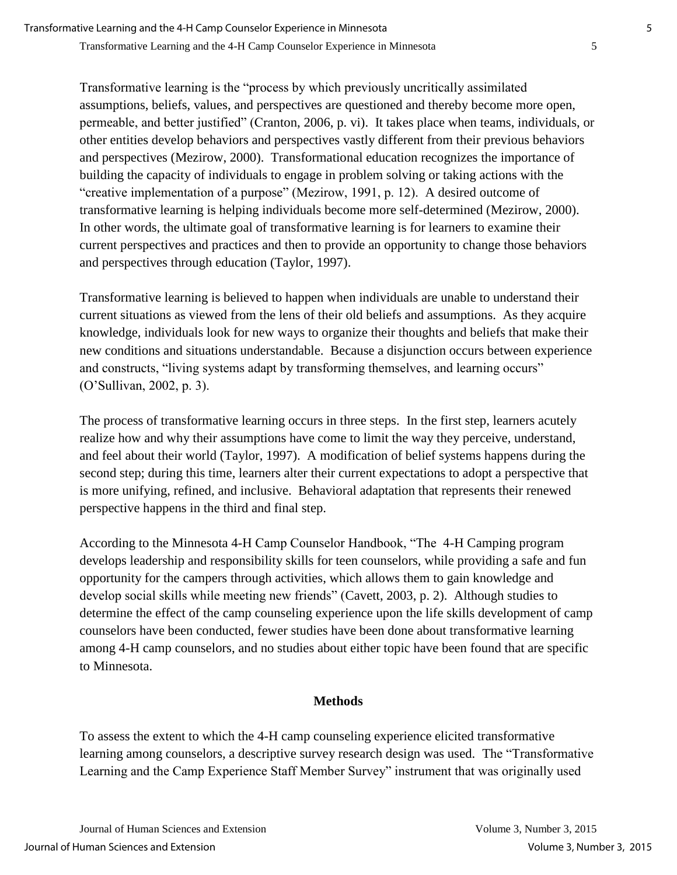Transformative learning is the "process by which previously uncritically assimilated assumptions, beliefs, values, and perspectives are questioned and thereby become more open, permeable, and better justified" (Cranton, 2006, p. vi). It takes place when teams, individuals, or other entities develop behaviors and perspectives vastly different from their previous behaviors and perspectives (Mezirow, 2000). Transformational education recognizes the importance of building the capacity of individuals to engage in problem solving or taking actions with the "creative implementation of a purpose" (Mezirow, 1991, p. 12). A desired outcome of transformative learning is helping individuals become more self-determined (Mezirow, 2000). In other words, the ultimate goal of transformative learning is for learners to examine their current perspectives and practices and then to provide an opportunity to change those behaviors and perspectives through education (Taylor, 1997).

Transformative learning is believed to happen when individuals are unable to understand their current situations as viewed from the lens of their old beliefs and assumptions. As they acquire knowledge, individuals look for new ways to organize their thoughts and beliefs that make their new conditions and situations understandable. Because a disjunction occurs between experience and constructs, "living systems adapt by transforming themselves, and learning occurs" (O'Sullivan, 2002, p. 3).

The process of transformative learning occurs in three steps. In the first step, learners acutely realize how and why their assumptions have come to limit the way they perceive, understand, and feel about their world (Taylor, 1997). A modification of belief systems happens during the second step; during this time, learners alter their current expectations to adopt a perspective that is more unifying, refined, and inclusive. Behavioral adaptation that represents their renewed perspective happens in the third and final step.

According to the Minnesota 4-H Camp Counselor Handbook, "The 4-H Camping program develops leadership and responsibility skills for teen counselors, while providing a safe and fun opportunity for the campers through activities, which allows them to gain knowledge and develop social skills while meeting new friends" (Cavett, 2003, p. 2). Although studies to determine the effect of the camp counseling experience upon the life skills development of camp counselors have been conducted, fewer studies have been done about transformative learning among 4-H camp counselors, and no studies about either topic have been found that are specific to Minnesota.

## **Methods**

To assess the extent to which the 4-H camp counseling experience elicited transformative learning among counselors, a descriptive survey research design was used. The "Transformative Learning and the Camp Experience Staff Member Survey" instrument that was originally used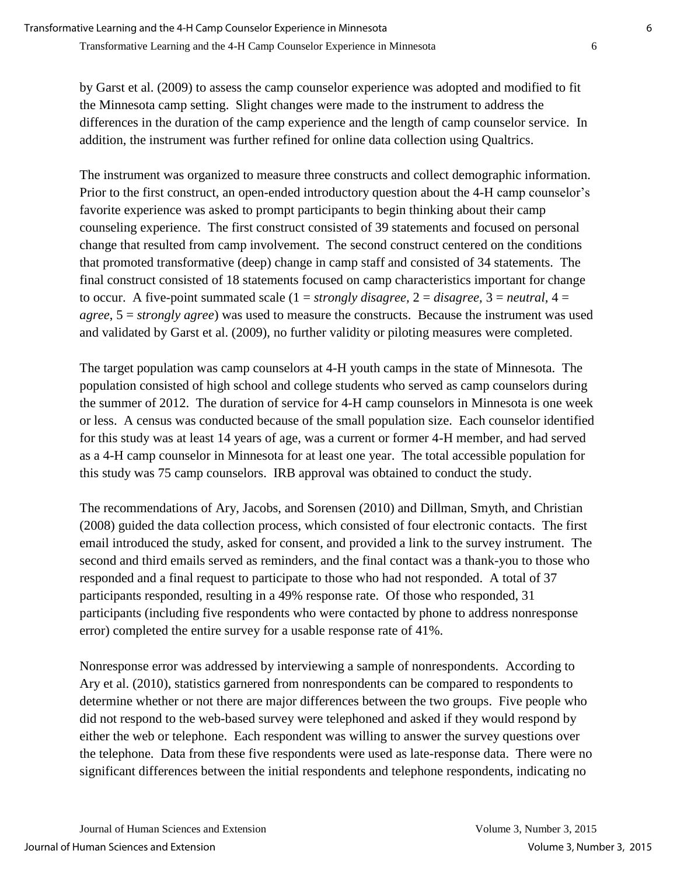by Garst et al. (2009) to assess the camp counselor experience was adopted and modified to fit the Minnesota camp setting. Slight changes were made to the instrument to address the differences in the duration of the camp experience and the length of camp counselor service. In addition, the instrument was further refined for online data collection using Qualtrics.

The instrument was organized to measure three constructs and collect demographic information. Prior to the first construct, an open-ended introductory question about the 4-H camp counselor's favorite experience was asked to prompt participants to begin thinking about their camp counseling experience. The first construct consisted of 39 statements and focused on personal change that resulted from camp involvement. The second construct centered on the conditions that promoted transformative (deep) change in camp staff and consisted of 34 statements. The final construct consisted of 18 statements focused on camp characteristics important for change to occur. A five-point summated scale  $(1 = strongly \, disagree, 2 = disagree, 3 = neutral, 4 =$ *agree*, 5 = *strongly agree*) was used to measure the constructs. Because the instrument was used and validated by Garst et al. (2009), no further validity or piloting measures were completed.

The target population was camp counselors at 4-H youth camps in the state of Minnesota. The population consisted of high school and college students who served as camp counselors during the summer of 2012. The duration of service for 4-H camp counselors in Minnesota is one week or less. A census was conducted because of the small population size. Each counselor identified for this study was at least 14 years of age, was a current or former 4-H member, and had served as a 4-H camp counselor in Minnesota for at least one year. The total accessible population for this study was 75 camp counselors. IRB approval was obtained to conduct the study.

The recommendations of Ary, Jacobs, and Sorensen (2010) and Dillman, Smyth, and Christian (2008) guided the data collection process, which consisted of four electronic contacts. The first email introduced the study, asked for consent, and provided a link to the survey instrument. The second and third emails served as reminders, and the final contact was a thank-you to those who responded and a final request to participate to those who had not responded. A total of 37 participants responded, resulting in a 49% response rate. Of those who responded, 31 participants (including five respondents who were contacted by phone to address nonresponse error) completed the entire survey for a usable response rate of 41%.

Nonresponse error was addressed by interviewing a sample of nonrespondents. According to Ary et al. (2010), statistics garnered from nonrespondents can be compared to respondents to determine whether or not there are major differences between the two groups. Five people who did not respond to the web-based survey were telephoned and asked if they would respond by either the web or telephone. Each respondent was willing to answer the survey questions over the telephone. Data from these five respondents were used as late-response data. There were no significant differences between the initial respondents and telephone respondents, indicating no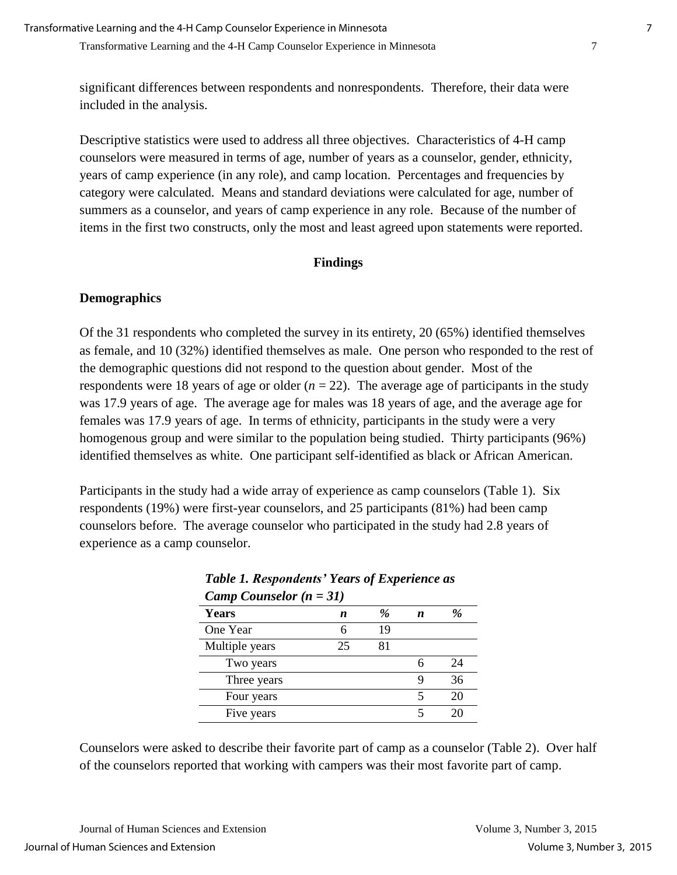significant differences between respondents and nonrespondents. Therefore, their data were included in the analysis.

Descriptive statistics were used to address all three objectives. Characteristics of 4-H camp counselors were measured in terms of age, number of years as a counselor, gender, ethnicity, years of camp experience (in any role), and camp location. Percentages and frequencies by category were calculated. Means and standard deviations were calculated for age, number of summers as a counselor, and years of camp experience in any role. Because of the number of items in the first two constructs, only the most and least agreed upon statements were reported.

#### **Findings**

## **Demographics**

Of the 31 respondents who completed the survey in its entirety, 20 (65%) identified themselves as female, and 10 (32%) identified themselves as male. One person who responded to the rest of the demographic questions did not respond to the question about gender. Most of the respondents were 18 years of age or older  $(n = 22)$ . The average age of participants in the study was 17.9 years of age. The average age for males was 18 years of age, and the average age for females was 17.9 years of age. In terms of ethnicity, participants in the study were a very homogenous group and were similar to the population being studied. Thirty participants (96%) identified themselves as white. One participant self-identified as black or African American.

Participants in the study had a wide array of experience as camp counselors (Table 1). Six respondents (19%) were first-year counselors, and 25 participants (81%) had been camp counselors before. The average counselor who participated in the study had 2.8 years of experience as a camp counselor.

| Camp Counselor $(n = 31)$ |    |               |   |    |  |  |  |
|---------------------------|----|---------------|---|----|--|--|--|
| <b>Years</b>              | n  | $\frac{a}{2}$ | n | %  |  |  |  |
| One Year                  | 6  | 19            |   |    |  |  |  |
| Multiple years            | 25 | 81            |   |    |  |  |  |
| Two years                 |    |               | 6 | 24 |  |  |  |
| Three years               |    |               |   | 36 |  |  |  |
| Four years                |    |               | 5 | 20 |  |  |  |
| Five years                |    |               | 5 |    |  |  |  |

*Table 1. Respondents' Years of Experience as* 

Counselors were asked to describe their favorite part of camp as a counselor (Table 2). Over half of the counselors reported that working with campers was their most favorite part of camp.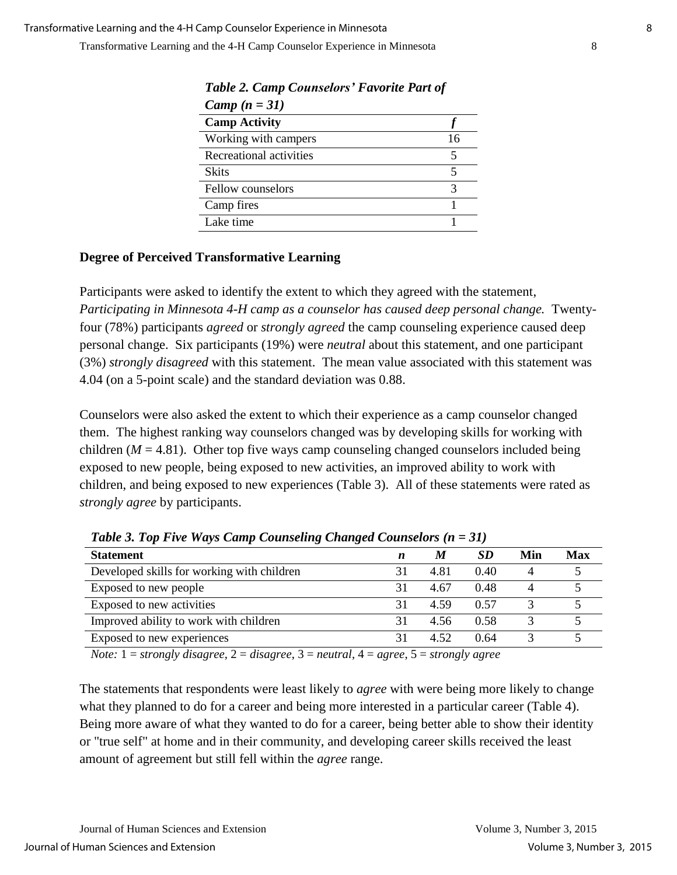| Camp $(n = 31)$         |    |
|-------------------------|----|
| <b>Camp Activity</b>    |    |
| Working with campers    | 16 |
| Recreational activities |    |
| <b>Skits</b>            |    |
| Fellow counselors       |    |
| Camp fires              |    |
| Lake time               |    |

*Table 2. Camp Counselors' Favorite Part of Camp (n = 31)*

## **Degree of Perceived Transformative Learning**

Participants were asked to identify the extent to which they agreed with the statement, *Participating in Minnesota 4-H camp as a counselor has caused deep personal change.* Twentyfour (78%) participants *agreed* or *strongly agreed* the camp counseling experience caused deep personal change. Six participants (19%) were *neutral* about this statement, and one participant (3%) *strongly disagreed* with this statement. The mean value associated with this statement was 4.04 (on a 5-point scale) and the standard deviation was 0.88.

Counselors were also asked the extent to which their experience as a camp counselor changed them. The highest ranking way counselors changed was by developing skills for working with children ( $M = 4.81$ ). Other top five ways camp counseling changed counselors included being exposed to new people, being exposed to new activities, an improved ability to work with children, and being exposed to new experiences (Table 3). All of these statements were rated as *strongly agree* by participants.

| ີ<br>ີ                                     |   |      |           |     |     |
|--------------------------------------------|---|------|-----------|-----|-----|
| <b>Statement</b>                           | n | M    | <b>SD</b> | Min | Max |
| Developed skills for working with children |   | 4.81 | 0.40      |     |     |
| Exposed to new people                      |   | 4.67 | 0.48      |     |     |
| Exposed to new activities                  |   | 4.59 | 0.57      |     |     |
| Improved ability to work with children     |   | 4.56 | 0.58      |     |     |
| Exposed to new experiences                 |   | 4.52 | 0.64      |     |     |
|                                            |   |      |           |     |     |

*Table 3. Top Five Ways Camp Counseling Changed Counselors (n = 31)*

*Note:* 1 = *strongly disagree*, 2 = *disagree*, 3 = *neutral*, 4 = *agree*, 5 = *strongly agree*

The statements that respondents were least likely to *agree* with were being more likely to change what they planned to do for a career and being more interested in a particular career (Table 4). Being more aware of what they wanted to do for a career, being better able to show their identity or "true self" at home and in their community, and developing career skills received the least amount of agreement but still fell within the *agree* range.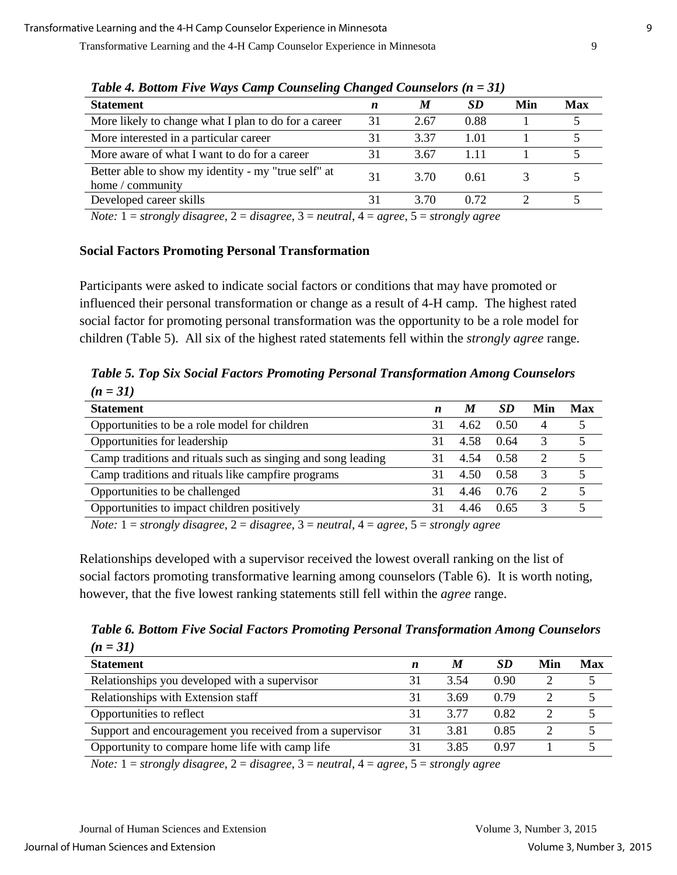| Table 4. Doublit Five Ways Camp Counseling Changea Counselors (n = 31)  |    |      |      |     |            |  |  |
|-------------------------------------------------------------------------|----|------|------|-----|------------|--|--|
| <b>Statement</b>                                                        | n  | M    | SD   | Min | <b>Max</b> |  |  |
| More likely to change what I plan to do for a career                    | 31 | 2.67 | 0.88 |     |            |  |  |
| More interested in a particular career                                  | 31 | 3.37 | 1.01 |     |            |  |  |
| More aware of what I want to do for a career                            | 31 | 3.67 | 111  |     |            |  |  |
| Better able to show my identity - my "true self" at<br>home / community | 31 | 3.70 | 0.61 |     |            |  |  |
| Developed career skills                                                 | 31 | 3.70 | 0.72 |     |            |  |  |
| $\mathbf{r}$<br>$\sim$<br>$\sim$                                        |    |      |      |     |            |  |  |

*Table 4. Bottom Five Ways Camp Counseling Changed Counselors (n = 31)*

*Note:* 1 = *strongly disagree*, 2 = *disagree*, 3 = *neutral*, 4 = *agree*, 5 = *strongly agree*

## **Social Factors Promoting Personal Transformation**

Participants were asked to indicate social factors or conditions that may have promoted or influenced their personal transformation or change as a result of 4-H camp. The highest rated social factor for promoting personal transformation was the opportunity to be a role model for children (Table 5). All six of the highest rated statements fell within the *strongly agree* range.

*Table 5. Top Six Social Factors Promoting Personal Transformation Among Counselors (n = 31)*

| <b>Statement</b>                                                                                                      | n  | M    | <b>SD</b> | Min            | Max |  |
|-----------------------------------------------------------------------------------------------------------------------|----|------|-----------|----------------|-----|--|
| Opportunities to be a role model for children                                                                         | 31 | 4.62 | 0.50      | $\overline{4}$ |     |  |
| Opportunities for leadership                                                                                          | 31 | 4.58 | 0.64      | 3              |     |  |
| Camp traditions and rituals such as singing and song leading                                                          |    | 4.54 | 0.58      | 2              |     |  |
| Camp traditions and rituals like campfire programs                                                                    | 31 | 4.50 | 0.58      | 3              |     |  |
| Opportunities to be challenged                                                                                        | 31 | 4.46 | 0.76      | $\overline{2}$ |     |  |
| Opportunities to impact children positively                                                                           | 31 | 4.46 | 0.65      |                |     |  |
| $N_{\text{data}} 1 = \text{standard}$ diagonal $2 = \text{diam} 2 = \text{normal} 1 = \text{sum} 5 = \text{standard}$ |    |      |           |                |     |  |

*Note:* 1 = *strongly disagree*, 2 = *disagree*, 3 = *neutral*, 4 = *agree*, 5 = *strongly agree*

Relationships developed with a supervisor received the lowest overall ranking on the list of social factors promoting transformative learning among counselors (Table 6). It is worth noting, however, that the five lowest ranking statements still fell within the *agree* range.

*Table 6. Bottom Five Social Factors Promoting Personal Transformation Among Counselors*  $(n = 31)$ 

| <b>Statement</b>                                         | n  | M    | <b>SD</b> | Min | Max |
|----------------------------------------------------------|----|------|-----------|-----|-----|
| Relationships you developed with a supervisor            | 31 | 3.54 | 0.90      |     |     |
| Relationships with Extension staff                       | 31 | 3.69 | 0.79      |     |     |
| Opportunities to reflect                                 | 31 | 3.77 | 0.82      |     |     |
| Support and encouragement you received from a supervisor | 31 | 3.81 | 0.85      |     |     |
| Opportunity to compare home life with camp life          |    | 3.85 | O 97      |     |     |
|                                                          |    |      |           |     |     |

*Note:* 1 = *strongly disagree*, 2 = *disagree*, 3 = *neutral*, 4 = *agree*, 5 = *strongly agree*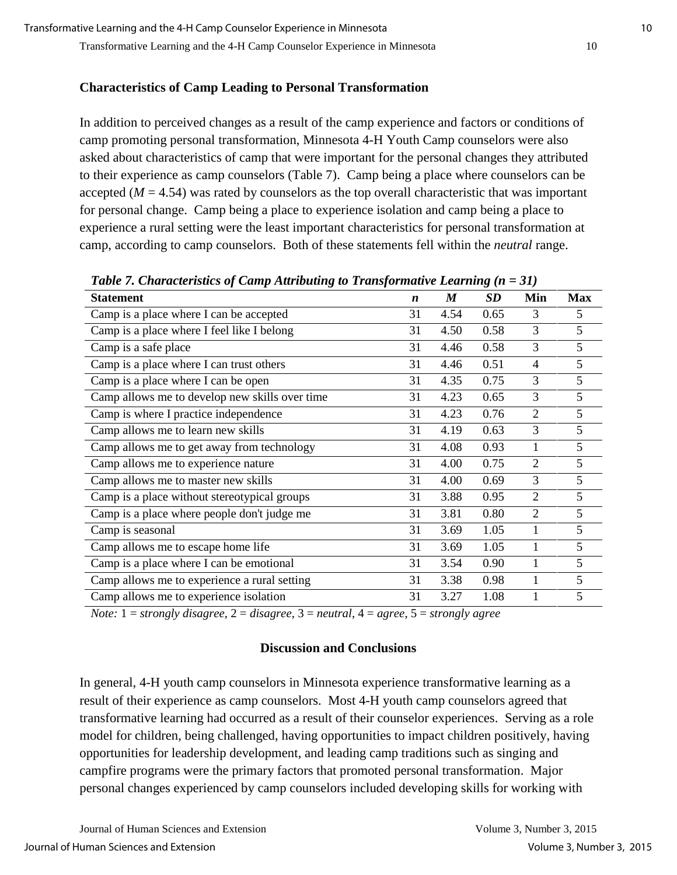## **Characteristics of Camp Leading to Personal Transformation**

In addition to perceived changes as a result of the camp experience and factors or conditions of camp promoting personal transformation, Minnesota 4-H Youth Camp counselors were also asked about characteristics of camp that were important for the personal changes they attributed to their experience as camp counselors (Table 7). Camp being a place where counselors can be accepted  $(M = 4.54)$  was rated by counselors as the top overall characteristic that was important for personal change. Camp being a place to experience isolation and camp being a place to experience a rural setting were the least important characteristics for personal transformation at camp, according to camp counselors. Both of these statements fell within the *neutral* range.

| <b>Statement</b>                               | $\boldsymbol{n}$ | $\boldsymbol{M}$ | SD   | Min            | <b>Max</b>      |
|------------------------------------------------|------------------|------------------|------|----------------|-----------------|
| Camp is a place where I can be accepted        | 31               | 4.54             | 0.65 | 3              | 5               |
| Camp is a place where I feel like I belong     | 31               | 4.50             | 0.58 | 3              | $5\overline{)}$ |
| Camp is a safe place                           | 31               | 4.46             | 0.58 | 3              | 5               |
| Camp is a place where I can trust others       | 31               | 4.46             | 0.51 | 4              | 5               |
| Camp is a place where I can be open            | 31               | 4.35             | 0.75 | 3              | 5               |
| Camp allows me to develop new skills over time | 31               | 4.23             | 0.65 | 3              | 5               |
| Camp is where I practice independence          | 31               | 4.23             | 0.76 | $\overline{2}$ | 5               |
| Camp allows me to learn new skills             | 31               | 4.19             | 0.63 | 3              | 5               |
| Camp allows me to get away from technology     | 31               | 4.08             | 0.93 | 1              | 5               |
| Camp allows me to experience nature            | 31               | 4.00             | 0.75 | 2              | 5               |
| Camp allows me to master new skills            | 31               | 4.00             | 0.69 | 3              | 5               |
| Camp is a place without stereotypical groups   | 31               | 3.88             | 0.95 | 2              | 5               |
| Camp is a place where people don't judge me    | 31               | 3.81             | 0.80 | $\overline{2}$ | 5               |
| Camp is seasonal                               | 31               | 3.69             | 1.05 | 1              | 5               |
| Camp allows me to escape home life             | 31               | 3.69             | 1.05 |                | 5               |
| Camp is a place where I can be emotional       | 31               | 3.54             | 0.90 |                | 5               |
| Camp allows me to experience a rural setting   | 31               | 3.38             | 0.98 |                | 5               |
| Camp allows me to experience isolation         | 31               | 3.27             | 1.08 |                | 5               |

*Table 7. Characteristics of Camp Attributing to Transformative Learning (n = 31)*

*Note:* 1 = *strongly disagree*, 2 = *disagree*, 3 = *neutral*, 4 = *agree*, 5 = *strongly agree*

#### **Discussion and Conclusions**

In general, 4-H youth camp counselors in Minnesota experience transformative learning as a result of their experience as camp counselors. Most 4-H youth camp counselors agreed that transformative learning had occurred as a result of their counselor experiences. Serving as a role model for children, being challenged, having opportunities to impact children positively, having opportunities for leadership development, and leading camp traditions such as singing and campfire programs were the primary factors that promoted personal transformation. Major personal changes experienced by camp counselors included developing skills for working with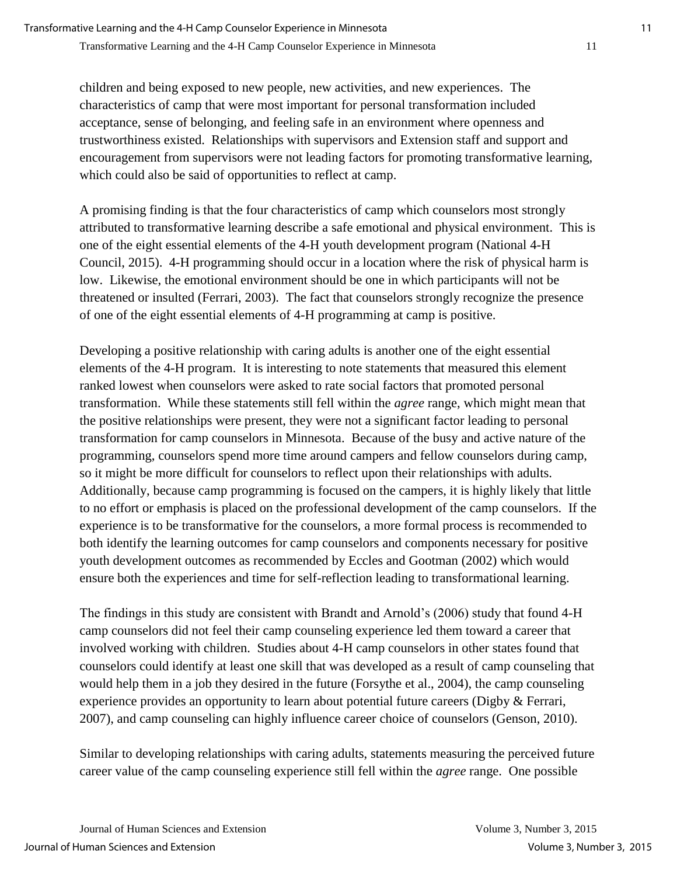children and being exposed to new people, new activities, and new experiences. The characteristics of camp that were most important for personal transformation included acceptance, sense of belonging, and feeling safe in an environment where openness and trustworthiness existed. Relationships with supervisors and Extension staff and support and encouragement from supervisors were not leading factors for promoting transformative learning, which could also be said of opportunities to reflect at camp.

A promising finding is that the four characteristics of camp which counselors most strongly attributed to transformative learning describe a safe emotional and physical environment. This is one of the eight essential elements of the 4-H youth development program (National 4-H Council, 2015). 4-H programming should occur in a location where the risk of physical harm is low. Likewise, the emotional environment should be one in which participants will not be threatened or insulted (Ferrari, 2003). The fact that counselors strongly recognize the presence of one of the eight essential elements of 4-H programming at camp is positive.

Developing a positive relationship with caring adults is another one of the eight essential elements of the 4-H program. It is interesting to note statements that measured this element ranked lowest when counselors were asked to rate social factors that promoted personal transformation. While these statements still fell within the *agree* range, which might mean that the positive relationships were present, they were not a significant factor leading to personal transformation for camp counselors in Minnesota. Because of the busy and active nature of the programming, counselors spend more time around campers and fellow counselors during camp, so it might be more difficult for counselors to reflect upon their relationships with adults. Additionally, because camp programming is focused on the campers, it is highly likely that little to no effort or emphasis is placed on the professional development of the camp counselors. If the experience is to be transformative for the counselors, a more formal process is recommended to both identify the learning outcomes for camp counselors and components necessary for positive youth development outcomes as recommended by Eccles and Gootman (2002) which would ensure both the experiences and time for self-reflection leading to transformational learning.

The findings in this study are consistent with Brandt and Arnold's (2006) study that found 4-H camp counselors did not feel their camp counseling experience led them toward a career that involved working with children. Studies about 4-H camp counselors in other states found that counselors could identify at least one skill that was developed as a result of camp counseling that would help them in a job they desired in the future (Forsythe et al., 2004), the camp counseling experience provides an opportunity to learn about potential future careers (Digby & Ferrari, 2007), and camp counseling can highly influence career choice of counselors (Genson, 2010).

Similar to developing relationships with caring adults, statements measuring the perceived future career value of the camp counseling experience still fell within the *agree* range. One possible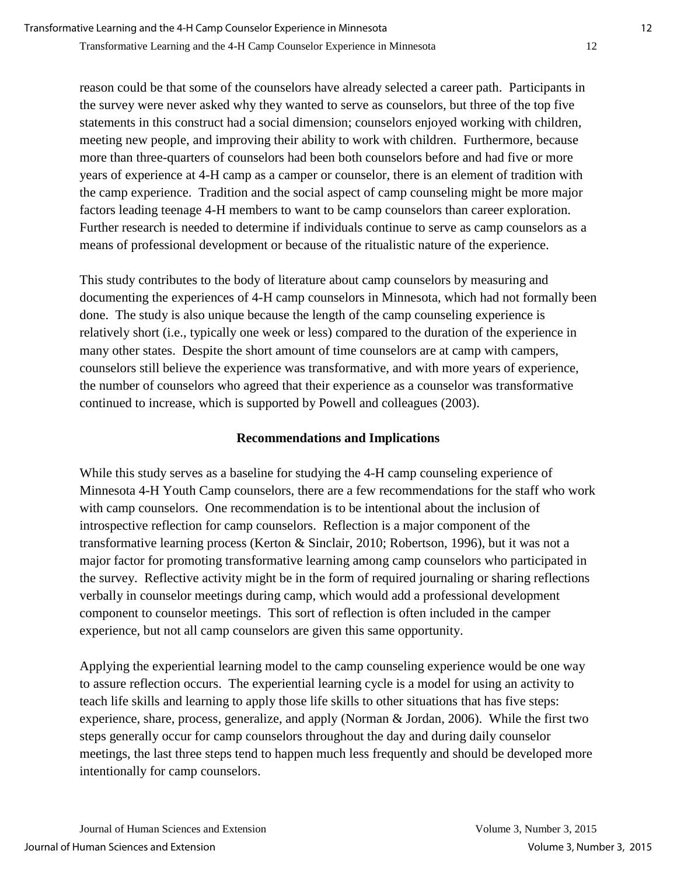reason could be that some of the counselors have already selected a career path. Participants in the survey were never asked why they wanted to serve as counselors, but three of the top five statements in this construct had a social dimension; counselors enjoyed working with children, meeting new people, and improving their ability to work with children. Furthermore, because more than three-quarters of counselors had been both counselors before and had five or more years of experience at 4-H camp as a camper or counselor, there is an element of tradition with the camp experience. Tradition and the social aspect of camp counseling might be more major factors leading teenage 4-H members to want to be camp counselors than career exploration. Further research is needed to determine if individuals continue to serve as camp counselors as a means of professional development or because of the ritualistic nature of the experience.

This study contributes to the body of literature about camp counselors by measuring and documenting the experiences of 4-H camp counselors in Minnesota, which had not formally been done. The study is also unique because the length of the camp counseling experience is relatively short (i.e., typically one week or less) compared to the duration of the experience in many other states. Despite the short amount of time counselors are at camp with campers, counselors still believe the experience was transformative, and with more years of experience, the number of counselors who agreed that their experience as a counselor was transformative continued to increase, which is supported by Powell and colleagues (2003).

## **Recommendations and Implications**

While this study serves as a baseline for studying the 4-H camp counseling experience of Minnesota 4-H Youth Camp counselors, there are a few recommendations for the staff who work with camp counselors. One recommendation is to be intentional about the inclusion of introspective reflection for camp counselors. Reflection is a major component of the transformative learning process (Kerton & Sinclair, 2010; Robertson, 1996), but it was not a major factor for promoting transformative learning among camp counselors who participated in the survey. Reflective activity might be in the form of required journaling or sharing reflections verbally in counselor meetings during camp, which would add a professional development component to counselor meetings. This sort of reflection is often included in the camper experience, but not all camp counselors are given this same opportunity.

Applying the experiential learning model to the camp counseling experience would be one way to assure reflection occurs. The experiential learning cycle is a model for using an activity to teach life skills and learning to apply those life skills to other situations that has five steps: experience, share, process, generalize, and apply (Norman & Jordan, 2006). While the first two steps generally occur for camp counselors throughout the day and during daily counselor meetings, the last three steps tend to happen much less frequently and should be developed more intentionally for camp counselors.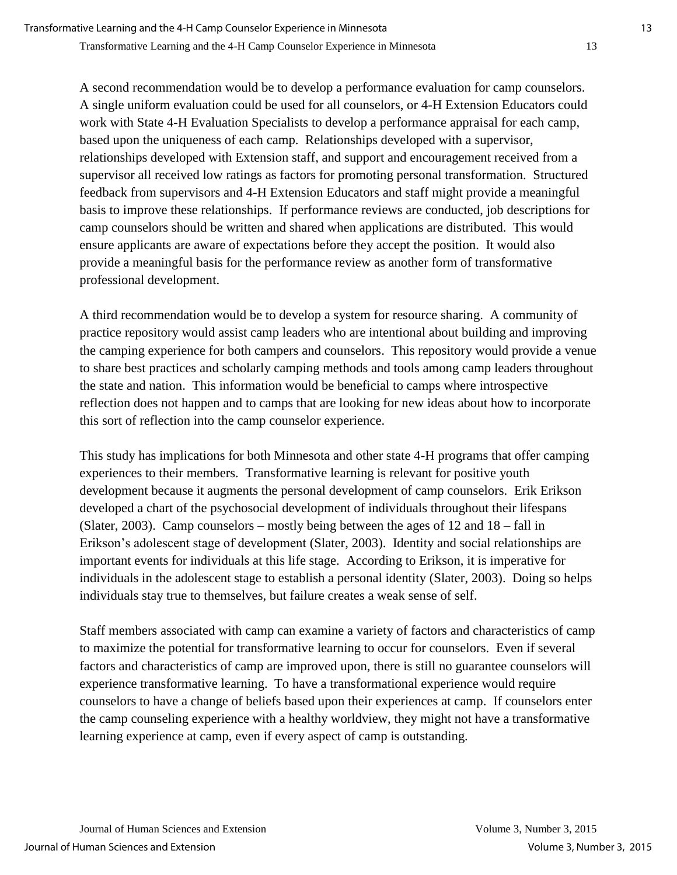A second recommendation would be to develop a performance evaluation for camp counselors. A single uniform evaluation could be used for all counselors, or 4-H Extension Educators could work with State 4-H Evaluation Specialists to develop a performance appraisal for each camp, based upon the uniqueness of each camp. Relationships developed with a supervisor, relationships developed with Extension staff, and support and encouragement received from a supervisor all received low ratings as factors for promoting personal transformation. Structured feedback from supervisors and 4-H Extension Educators and staff might provide a meaningful basis to improve these relationships. If performance reviews are conducted, job descriptions for camp counselors should be written and shared when applications are distributed. This would ensure applicants are aware of expectations before they accept the position. It would also provide a meaningful basis for the performance review as another form of transformative professional development.

A third recommendation would be to develop a system for resource sharing. A community of practice repository would assist camp leaders who are intentional about building and improving the camping experience for both campers and counselors. This repository would provide a venue to share best practices and scholarly camping methods and tools among camp leaders throughout the state and nation. This information would be beneficial to camps where introspective reflection does not happen and to camps that are looking for new ideas about how to incorporate this sort of reflection into the camp counselor experience.

This study has implications for both Minnesota and other state 4-H programs that offer camping experiences to their members. Transformative learning is relevant for positive youth development because it augments the personal development of camp counselors. Erik Erikson developed a chart of the psychosocial development of individuals throughout their lifespans (Slater, 2003). Camp counselors – mostly being between the ages of 12 and 18 – fall in Erikson's adolescent stage of development (Slater, 2003). Identity and social relationships are important events for individuals at this life stage. According to Erikson, it is imperative for individuals in the adolescent stage to establish a personal identity (Slater, 2003). Doing so helps individuals stay true to themselves, but failure creates a weak sense of self.

Staff members associated with camp can examine a variety of factors and characteristics of camp to maximize the potential for transformative learning to occur for counselors. Even if several factors and characteristics of camp are improved upon, there is still no guarantee counselors will experience transformative learning. To have a transformational experience would require counselors to have a change of beliefs based upon their experiences at camp. If counselors enter the camp counseling experience with a healthy worldview, they might not have a transformative learning experience at camp, even if every aspect of camp is outstanding.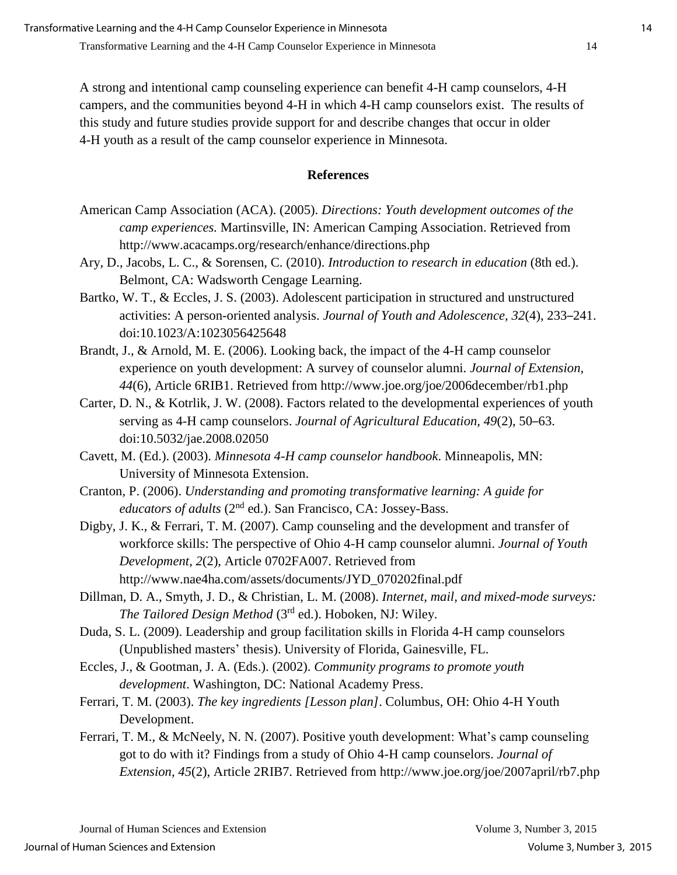A strong and intentional camp counseling experience can benefit 4-H camp counselors, 4-H campers, and the communities beyond 4-H in which 4-H camp counselors exist. The results of this study and future studies provide support for and describe changes that occur in older 4-H youth as a result of the camp counselor experience in Minnesota.

## **References**

- American Camp Association (ACA). (2005). *Directions: Youth development outcomes of the camp experiences.* Martinsville, IN: American Camping Association. Retrieved from http://www.acacamps.org/research/enhance/directions.php
- Ary, D., Jacobs, L. C., & Sorensen, C. (2010). *Introduction to research in education* (8th ed.). Belmont, CA: Wadsworth Cengage Learning.
- Bartko, W. T., & Eccles, J. S. (2003). Adolescent participation in structured and unstructured activities: A person-oriented analysis. *Journal of Youth and Adolescence, 32*(4), 233–241. doi:10.1023/A:1023056425648
- Brandt, J., & Arnold, M. E. (2006). Looking back, the impact of the 4-H camp counselor experience on youth development: A survey of counselor alumni. *Journal of Extension, 44*(6), Article 6RIB1. Retrieved from http://www.joe.org/joe/2006december/rb1.php
- Carter, D. N., & Kotrlik, J. W. (2008). Factors related to the developmental experiences of youth serving as 4-H camp counselors. *Journal of Agricultural Education, 49*(2), 50–63. doi:10.5032/jae.2008.02050
- Cavett, M. (Ed.). (2003). *Minnesota 4-H camp counselor handbook*. Minneapolis, MN: University of Minnesota Extension.
- Cranton, P. (2006). *Understanding and promoting transformative learning: A guide for educators of adults* (2<sup>nd</sup> ed.). San Francisco, CA: Jossey-Bass.
- Digby, J. K., & Ferrari, T. M. (2007). Camp counseling and the development and transfer of workforce skills: The perspective of Ohio 4-H camp counselor alumni. *Journal of Youth Development, 2*(2), Article 0702FA007. Retrieved from http://www.nae4ha.com/assets/documents/JYD\_070202final.pdf
- Dillman, D. A., Smyth, J. D., & Christian, L. M. (2008). *Internet, mail, and mixed-mode surveys: The Tailored Design Method* (3rd ed.). Hoboken, NJ: Wiley.
- Duda, S. L. (2009). Leadership and group facilitation skills in Florida 4-H camp counselors (Unpublished masters' thesis). University of Florida, Gainesville, FL.
- Eccles, J., & Gootman, J. A. (Eds.). (2002). *Community programs to promote youth development*. Washington, DC: National Academy Press.
- Ferrari, T. M. (2003). *The key ingredients [Lesson plan]*. Columbus, OH: Ohio 4-H Youth Development.
- Ferrari, T. M., & McNeely, N. N. (2007). Positive youth development: What's camp counseling got to do with it? Findings from a study of Ohio 4-H camp counselors. *Journal of Extension, 45*(2), Article 2RIB7. Retrieved from http://www.joe.org/joe/2007april/rb7.php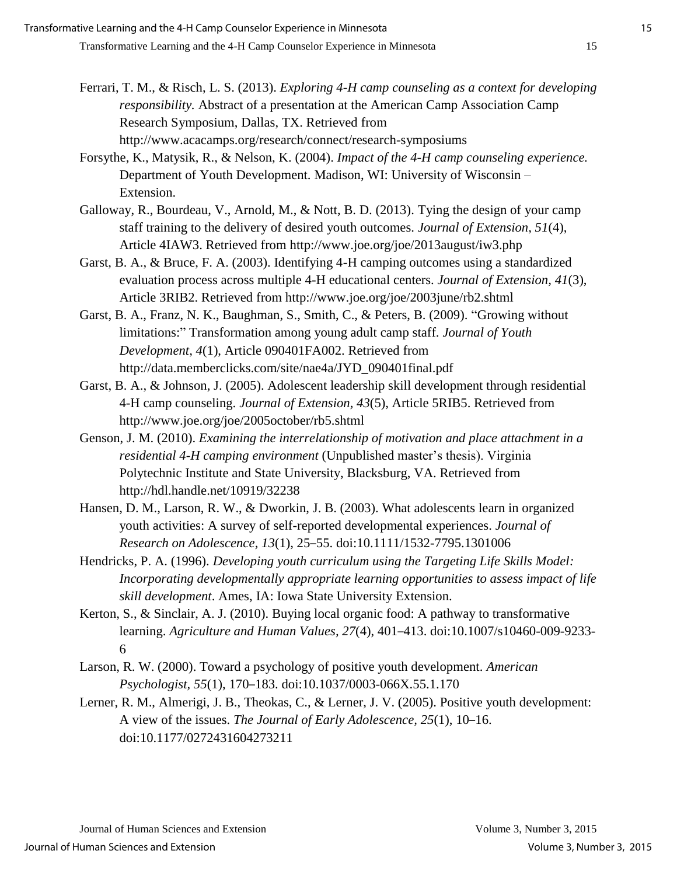Forsythe, K., Matysik, R., & Nelson, K. (2004). *Impact of the 4-H camp counseling experience.* Department of Youth Development. Madison, WI: University of Wisconsin – Extension.

Galloway, R., Bourdeau, V., Arnold, M., & Nott, B. D. (2013). Tying the design of your camp staff training to the delivery of desired youth outcomes. *Journal of Extension, 51*(4), Article 4IAW3. Retrieved from http://www.joe.org/joe/2013august/iw3.php

Garst, B. A., & Bruce, F. A. (2003). Identifying 4-H camping outcomes using a standardized evaluation process across multiple 4-H educational centers. *Journal of Extension, 41*(3), Article 3RIB2. Retrieved from http://www.joe.org/joe/2003june/rb2.shtml

Garst, B. A., Franz, N. K., Baughman, S., Smith, C., & Peters, B. (2009). "Growing without limitations:" Transformation among young adult camp staff. *Journal of Youth Development, 4*(1), Article 090401FA002. Retrieved from http://data.memberclicks.com/site/nae4a/JYD\_090401final.pdf

Garst, B. A., & Johnson, J. (2005). Adolescent leadership skill development through residential 4-H camp counseling. *Journal of Extension, 43*(5), Article 5RIB5. Retrieved from http://www.joe.org/joe/2005october/rb5.shtml

Genson, J. M. (2010). *Examining the interrelationship of motivation and place attachment in a residential 4-H camping environment* (Unpublished master's thesis). Virginia Polytechnic Institute and State University, Blacksburg, VA. Retrieved from http://hdl.handle.net/10919/32238

Hansen, D. M., Larson, R. W., & Dworkin, J. B. (2003). What adolescents learn in organized youth activities: A survey of self-reported developmental experiences. *Journal of Research on Adolescence, 13*(1), 25–55. doi:10.1111/1532-7795.1301006

Hendricks, P. A. (1996). *Developing youth curriculum using the Targeting Life Skills Model: Incorporating developmentally appropriate learning opportunities to assess impact of life skill development*. Ames, IA: Iowa State University Extension.

Kerton, S., & Sinclair, A. J. (2010). Buying local organic food: A pathway to transformative learning. *Agriculture and Human Values, 27*(4), 401–413. doi:10.1007/s10460-009-9233- 6

Larson, R. W. (2000). Toward a psychology of positive youth development. *American Psychologist, 55*(1), 170–183. doi:10.1037/0003-066X.55.1.170

Lerner, R. M., Almerigi, J. B., Theokas, C., & Lerner, J. V. (2005). Positive youth development: A view of the issues. *The Journal of Early Adolescence, 25*(1), 10–16. doi:10.1177/0272431604273211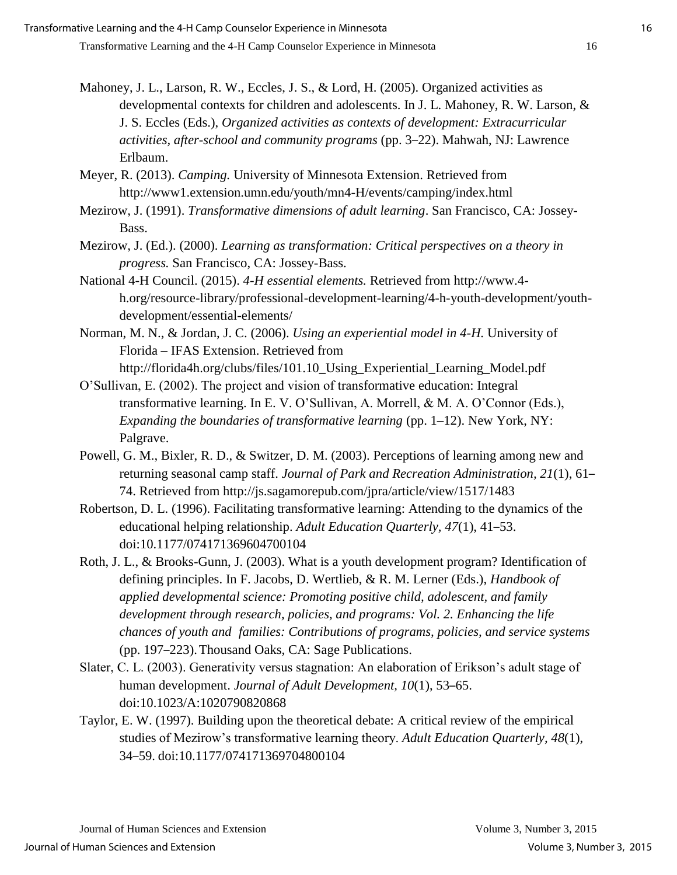- Mahoney, J. L., Larson, R. W., Eccles, J. S., & Lord, H. (2005). Organized activities as developmental contexts for children and adolescents. In J. L. Mahoney, R. W. Larson, & J. S. Eccles (Eds.), *Organized activities as contexts of development: Extracurricular activities, after-school and community programs* (pp. 3–22). Mahwah, NJ: Lawrence Erlbaum.
- Meyer, R. (2013). *Camping.* University of Minnesota Extension. Retrieved from http://www1.extension.umn.edu/youth/mn4-H/events/camping/index.html
- Mezirow, J. (1991). *Transformative dimensions of adult learning*. San Francisco, CA: Jossey-Bass.
- Mezirow, J. (Ed.). (2000). *Learning as transformation: Critical perspectives on a theory in progress.* San Francisco, CA: Jossey-Bass.
- National 4-H Council. (2015). *4-H essential elements.* Retrieved from http://www.4 h.org/resource-library/professional-development-learning/4-h-youth-development/youthdevelopment/essential-elements/
- Norman, M. N., & Jordan, J. C. (2006). *Using an experiential model in 4-H.* University of Florida – IFAS Extension. Retrieved from http://florida4h.org/clubs/files/101.10\_Using\_Experiential\_Learning\_Model.pdf
- O'Sullivan, E. (2002). The project and vision of transformative education: Integral transformative learning. In E. V. O'Sullivan, A. Morrell, & M. A. O'Connor (Eds.), *Expanding the boundaries of transformative learning* (pp. 1–12). New York, NY: Palgrave.
- Powell, G. M., Bixler, R. D., & Switzer, D. M. (2003). Perceptions of learning among new and returning seasonal camp staff. *Journal of Park and Recreation Administration, 21*(1), 61– 74. Retrieved from http://js.sagamorepub.com/jpra/article/view/1517/1483
- Robertson, D. L. (1996). Facilitating transformative learning: Attending to the dynamics of the educational helping relationship. *Adult Education Quarterly, 47*(1), 41–53. doi:10.1177/074171369604700104
- Roth, J. L., & Brooks-Gunn, J. (2003). What is a youth development program? Identification of defining principles. In F. Jacobs, D. Wertlieb, & R. M. Lerner (Eds.), *Handbook of applied developmental science: Promoting positive child, adolescent, and family development through research, policies, and programs: Vol. 2. Enhancing the life chances of youth and families: Contributions of programs, policies, and service systems*  (pp. 197–223). Thousand Oaks, CA: Sage Publications.
- Slater, C. L. (2003). Generativity versus stagnation: An elaboration of Erikson's adult stage of human development. *Journal of Adult Development, 10*(1), 53–65. doi:10.1023/A:1020790820868
- Taylor, E. W. (1997). Building upon the theoretical debate: A critical review of the empirical studies of Mezirow's transformative learning theory. *Adult Education Quarterly, 48*(1), 34–59. doi:10.1177/074171369704800104